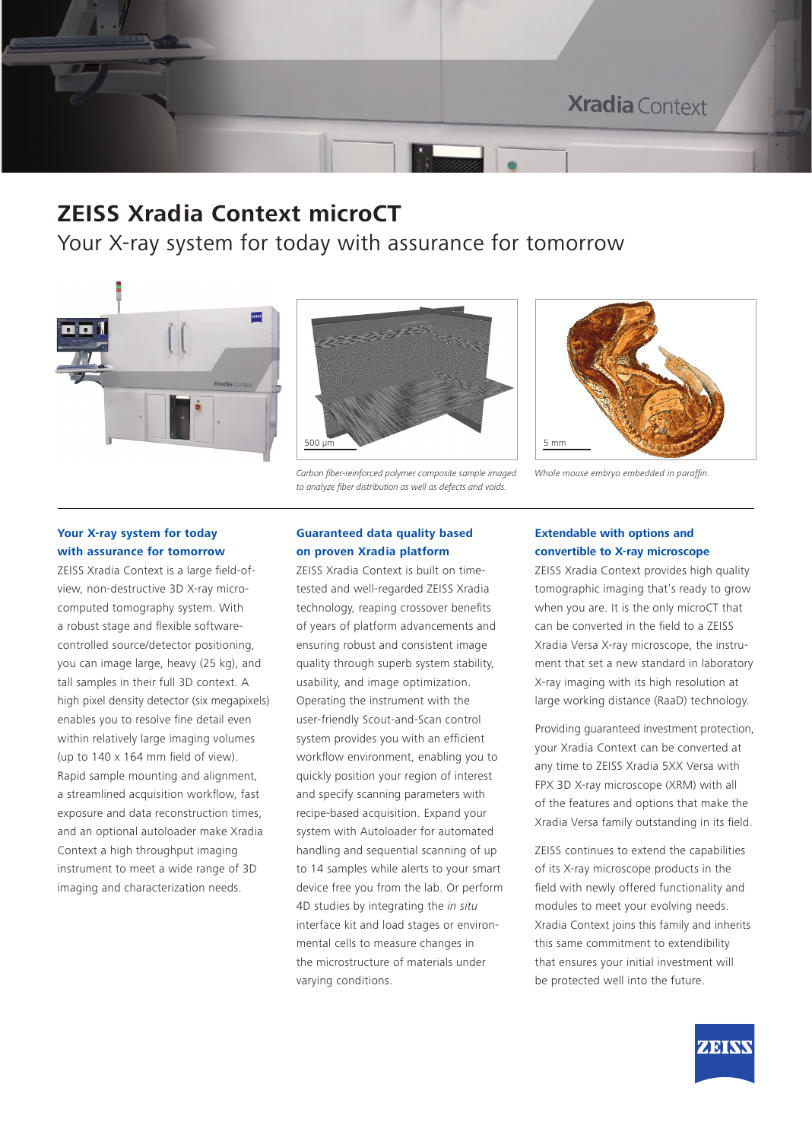

### **ZEISS Xradia Context microCT**

Your X-ray system for today with assurance for tomorrow





*Carbon fiber-reinforced polymer composite sample imaged to analyze fiber distribution as well as defects and voids.*



*Whole mouse embryo embedded in paraffin.*

### **Your X-ray system for today with assurance for tomorrow**

ZEISS Xradia Context is a large field-ofview, non-destructive 3D X-ray microcomputed tomography system. With a robust stage and flexible softwarecontrolled source/detector positioning, you can image large, heavy (25 kg), and tall samples in their full 3D context. A high pixel density detector (six megapixels) enables you to resolve fine detail even within relatively large imaging volumes (up to 140 x 164 mm field of view). Rapid sample mounting and alignment, a streamlined acquisition workflow, fast exposure and data reconstruction times, and an optional autoloader make Xradia Context a high throughput imaging instrument to meet a wide range of 3D imaging and characterization needs.

### **Guaranteed data quality based on proven Xradia platform**

ZEISS Xradia Context is built on timetested and well-regarded ZEISS Xradia technology, reaping crossover benefits of years of platform advancements and ensuring robust and consistent image quality through superb system stability, usability, and image optimization. Operating the instrument with the user-friendly Scout-and-Scan control system provides you with an efficient workflow environment, enabling you to quickly position your region of interest and specify scanning parameters with recipe-based acquisition. Expand your system with Autoloader for automated handling and sequential scanning of up to 14 samples while alerts to your smart device free you from the lab. Or perform 4D studies by integrating the *in situ* interface kit and load stages or environmental cells to measure changes in the microstructure of materials under varying conditions.

#### **Extendable with options and convertible to X-ray microscope**

ZEISS Xradia Context provides high quality tomographic imaging that's ready to grow when you are. It is the only microCT that can be converted in the field to a ZEISS Xradia Versa X-ray microscope, the instrument that set a new standard in laboratory X-ray imaging with its high resolution at large working distance (RaaD) technology.

Providing guaranteed investment protection, your Xradia Context can be converted at any time to ZEISS Xradia 5XX Versa with FPX 3D X-ray microscope (XRM) with all of the features and options that make the Xradia Versa family outstanding in its field.

ZEISS continues to extend the capabilities of its X-ray microscope products in the field with newly offered functionality and modules to meet your evolving needs. Xradia Context joins this family and inherits this same commitment to extendibility that ensures your initial investment will be protected well into the future.